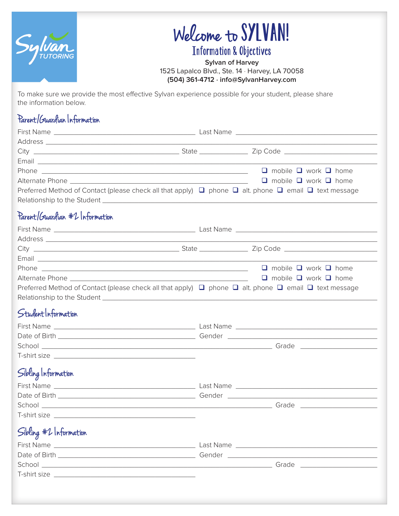

# Welcome to SYLVAN!

### Information & Objectives

**Sylvan of Harvey** 1525 Lapalco Blvd., Ste. 14 · Harvey, LA 70058 **(504) 361-4712 · info@SylvanHarvey.com**

To make sure we provide the most effective Sylvan experience possible for your student, please share the information below.

#### Parent /Guardian Information

|  | $\Box$ mobile $\Box$ work $\Box$ home                                                                                     |
|--|---------------------------------------------------------------------------------------------------------------------------|
|  | $\Box$ mobile $\Box$ work $\Box$ home                                                                                     |
|  | Preferred Method of Contact (please check all that apply) $\Box$ phone $\Box$ alt. phone $\Box$ email $\Box$ text message |
|  |                                                                                                                           |
|  |                                                                                                                           |

#### Parent/Guardian #2 Information

|                                                                                                                           |  | $\Box$ mobile $\Box$ work $\Box$ home |  |  |
|---------------------------------------------------------------------------------------------------------------------------|--|---------------------------------------|--|--|
|                                                                                                                           |  | $\Box$ mobile $\Box$ work $\Box$ home |  |  |
| Preferred Method of Contact (please check all that apply) $\Box$ phone $\Box$ alt. phone $\Box$ email $\Box$ text message |  |                                       |  |  |
|                                                                                                                           |  |                                       |  |  |

#### Student Information

| First Name    | Last Name |
|---------------|-----------|
| Date of Birth | Gender    |
| School        | Grade     |
| T-shirt size  |           |

#### Sibling Information

| <b>First Name</b> | Last Name |
|-------------------|-----------|
| Date of Birth     | Gender    |
| School            | Grade     |
| T-shirt size      |           |

#### Sibling #2 Information

| ັ<br><b>First Name</b>             | Last Name |
|------------------------------------|-----------|
| Date of Birth <b>Exercise 2008</b> | Gender    |
| School                             | Grade     |
| T-shirt size                       |           |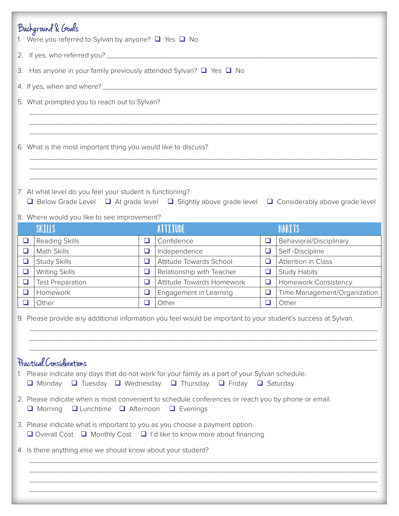|                                                                                                                                                                                              | Background & Goals<br>1. Were you referred to Sylvan by anyone? $\Box$ Yes $\Box$ No                                                                                      |        |                                  |        |                              |
|----------------------------------------------------------------------------------------------------------------------------------------------------------------------------------------------|---------------------------------------------------------------------------------------------------------------------------------------------------------------------------|--------|----------------------------------|--------|------------------------------|
|                                                                                                                                                                                              |                                                                                                                                                                           |        |                                  |        |                              |
|                                                                                                                                                                                              | 3. Has anyone in your family previously attended Sylvan? $\Box$ Yes $\Box$ No                                                                                             |        |                                  |        |                              |
|                                                                                                                                                                                              |                                                                                                                                                                           |        |                                  |        |                              |
|                                                                                                                                                                                              |                                                                                                                                                                           |        |                                  |        |                              |
|                                                                                                                                                                                              | 5. What prompted you to reach out to Sylvan?                                                                                                                              |        |                                  |        |                              |
|                                                                                                                                                                                              |                                                                                                                                                                           |        |                                  |        |                              |
|                                                                                                                                                                                              |                                                                                                                                                                           |        |                                  |        |                              |
|                                                                                                                                                                                              | 6. What is the most important thing you would like to discuss?                                                                                                            |        |                                  |        |                              |
|                                                                                                                                                                                              |                                                                                                                                                                           |        |                                  |        |                              |
|                                                                                                                                                                                              |                                                                                                                                                                           |        |                                  |        |                              |
|                                                                                                                                                                                              |                                                                                                                                                                           |        |                                  |        |                              |
|                                                                                                                                                                                              | 7. At what level do you feel your student is functioning?<br><b>□</b> Below Grade Level □ At grade level □ Slightly above grade level □ Considerably above grade level    |        |                                  |        |                              |
|                                                                                                                                                                                              |                                                                                                                                                                           |        |                                  |        |                              |
|                                                                                                                                                                                              | 8. Where would you like to see improvement?<br><b>SKILLS</b>                                                                                                              |        | <b>ATTITUDE</b>                  |        | HABITS                       |
| $\Box$                                                                                                                                                                                       | Reading Skills                                                                                                                                                            | $\Box$ | Confidence                       | □      | Behavioral/Disciplinary      |
| $\Box$                                                                                                                                                                                       | Math Skills                                                                                                                                                               | $\Box$ | Independence                     | $\Box$ | Self-Discipline              |
| $\Box$                                                                                                                                                                                       | <b>Study Skills</b>                                                                                                                                                       | $\Box$ | Attitude Towards School          | $\Box$ | <b>Attention in Class</b>    |
| $\Box$                                                                                                                                                                                       | <b>Writing Skills</b>                                                                                                                                                     | $\Box$ | Relationship with Teacher        | $\Box$ | <b>Study Habits</b>          |
| $\Box$                                                                                                                                                                                       | <b>Test Preparation</b>                                                                                                                                                   | $\Box$ | <b>Attitude Towards Homework</b> | $\Box$ | Homework Consistency         |
| ❏                                                                                                                                                                                            | Homework                                                                                                                                                                  | $\Box$ | Engagement in Learning           | $\Box$ | Time Management/Organization |
| ❏                                                                                                                                                                                            | Other                                                                                                                                                                     | $\Box$ | Other                            | $\Box$ | Other                        |
|                                                                                                                                                                                              | 9. Please provide any additional information you feel would be important to your student's success at Sylvan.                                                             |        |                                  |        |                              |
| Practical Considerations<br>1. Please indicate any days that do not work for your family as a part of your Sylvan schedule.<br>□ Monday □ Tuesday □ Wednesday □ Thursday □ Friday □ Saturday |                                                                                                                                                                           |        |                                  |        |                              |
|                                                                                                                                                                                              | 2. Please indicate when is most convenient to schedule conferences or reach you by phone or email.<br>$\Box$ Lunchtime $\Box$ Afternoon $\Box$ Evenings<br>$\Box$ Morning |        |                                  |        |                              |
|                                                                                                                                                                                              | 3. Please indicate what is important to you as you choose a payment option.<br>$\Box$ Overall Cost $\Box$ Monthly Cost $\Box$ I'd like to know more about financing       |        |                                  |        |                              |
| 4. Is there anything else we should know about your student?                                                                                                                                 |                                                                                                                                                                           |        |                                  |        |                              |
|                                                                                                                                                                                              |                                                                                                                                                                           |        |                                  |        |                              |
|                                                                                                                                                                                              |                                                                                                                                                                           |        |                                  |        |                              |
|                                                                                                                                                                                              |                                                                                                                                                                           |        |                                  |        |                              |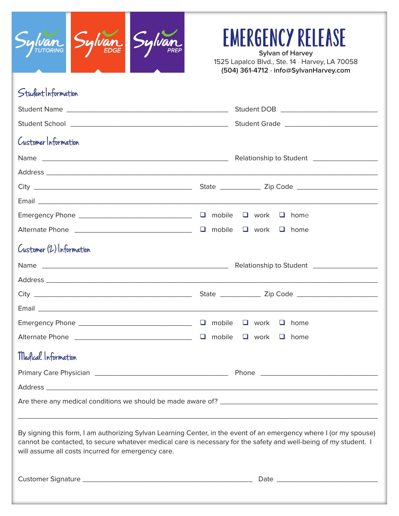

## EMERGENCY RELEASE

**Sylvan of Harvey** 1525 Lapalco Blvd., Ste. 14 · Harvey, LA 70058 **(504) 361-4712 · info@SylvanHarvey.com**

### Student Information

| Customer Information                                                                                                                                                                                                                                                                         |  |  |  |  |
|----------------------------------------------------------------------------------------------------------------------------------------------------------------------------------------------------------------------------------------------------------------------------------------------|--|--|--|--|
|                                                                                                                                                                                                                                                                                              |  |  |  |  |
|                                                                                                                                                                                                                                                                                              |  |  |  |  |
|                                                                                                                                                                                                                                                                                              |  |  |  |  |
|                                                                                                                                                                                                                                                                                              |  |  |  |  |
|                                                                                                                                                                                                                                                                                              |  |  |  |  |
|                                                                                                                                                                                                                                                                                              |  |  |  |  |
| Customer (2) Information                                                                                                                                                                                                                                                                     |  |  |  |  |
|                                                                                                                                                                                                                                                                                              |  |  |  |  |
|                                                                                                                                                                                                                                                                                              |  |  |  |  |
|                                                                                                                                                                                                                                                                                              |  |  |  |  |
|                                                                                                                                                                                                                                                                                              |  |  |  |  |
|                                                                                                                                                                                                                                                                                              |  |  |  |  |
|                                                                                                                                                                                                                                                                                              |  |  |  |  |
| Medical Information                                                                                                                                                                                                                                                                          |  |  |  |  |
|                                                                                                                                                                                                                                                                                              |  |  |  |  |
|                                                                                                                                                                                                                                                                                              |  |  |  |  |
|                                                                                                                                                                                                                                                                                              |  |  |  |  |
| By signing this form, I am authorizing Sylvan Learning Center, in the event of an emergency where I (or my spouse)<br>cannot be contacted, to secure whatever medical care is necessary for the safety and well-being of my student. I<br>will assume all costs incurred for emergency care. |  |  |  |  |
|                                                                                                                                                                                                                                                                                              |  |  |  |  |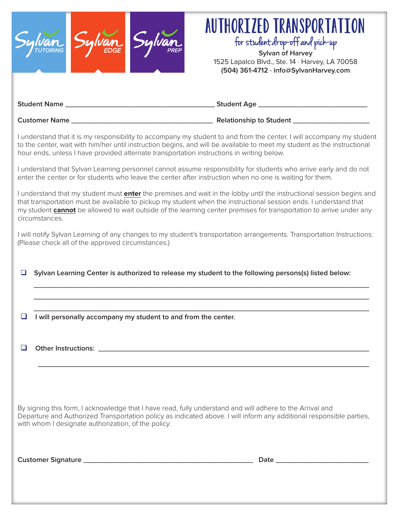

 $\Box$  I will personally accompany my student to and from the center.

q **Other Instructions: \_\_\_\_\_\_\_\_\_\_\_\_\_\_\_\_\_\_\_\_\_\_\_\_\_\_\_\_\_\_\_\_\_\_\_\_\_\_\_\_\_\_\_\_\_\_\_\_\_\_\_\_\_\_\_\_\_\_\_\_\_\_\_\_\_\_\_**

By signing this form, I acknowledge that I have read, fully understand and will adhere to the Arrival and Departure and Authorized Transportation policy as indicated above. I will inform any additional responsible parties, with whom I designate authorization, of the policy.

**\_\_\_\_\_\_\_\_\_\_\_\_\_\_\_\_\_\_\_\_\_\_\_\_\_\_\_\_\_\_\_\_\_\_\_\_\_\_\_\_\_\_\_\_\_\_\_\_\_\_\_\_\_\_\_\_\_\_\_\_\_\_\_\_\_\_\_\_\_\_\_\_\_\_\_\_\_\_\_\_\_\_**

**Customer Signature \_\_\_\_\_\_\_\_\_\_\_\_\_\_\_\_\_\_\_\_\_\_\_\_\_\_\_\_\_\_\_\_\_\_\_\_\_\_\_\_\_\_ Date \_\_\_\_\_\_\_\_\_\_\_\_\_\_\_\_\_\_\_\_\_\_\_**